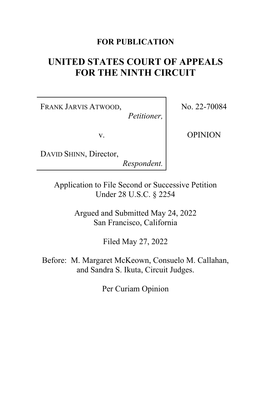## **FOR PUBLICATION**

# **UNITED STATES COURT OF APPEALS FOR THE NINTH CIRCUIT**

FRANK JARVIS ATWOOD,

*Petitioner,*

v.

No. 22-70084

OPINION

DAVID SHINN, Director,

*Respondent.*

Application to File Second or Successive Petition Under 28 U.S.C. § 2254

> Argued and Submitted May 24, 2022 San Francisco, California

> > Filed May 27, 2022

Before: M. Margaret McKeown, Consuelo M. Callahan, and Sandra S. Ikuta, Circuit Judges.

Per Curiam Opinion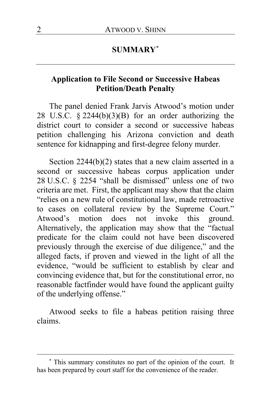## **SUMMARY[\\*](#page-1-0)**

## **Application to File Second or Successive Habeas Petition/Death Penalty**

The panel denied Frank Jarvis Atwood's motion under 28 U.S.C.  $\S$  2244(b)(3)(B) for an order authorizing the district court to consider a second or successive habeas petition challenging his Arizona conviction and death sentence for kidnapping and first-degree felony murder.

Section 2244(b)(2) states that a new claim asserted in a second or successive habeas corpus application under 28 U.S.C. § 2254 "shall be dismissed" unless one of two criteria are met. First, the applicant may show that the claim "relies on a new rule of constitutional law, made retroactive to cases on collateral review by the Supreme Court." Atwood's motion does not invoke this ground. Alternatively, the application may show that the "factual predicate for the claim could not have been discovered previously through the exercise of due diligence," and the alleged facts, if proven and viewed in the light of all the evidence, "would be sufficient to establish by clear and convincing evidence that, but for the constitutional error, no reasonable factfinder would have found the applicant guilty of the underlying offense."

Atwood seeks to file a habeas petition raising three claims.

<span id="page-1-0"></span><sup>\*</sup> This summary constitutes no part of the opinion of the court. It has been prepared by court staff for the convenience of the reader.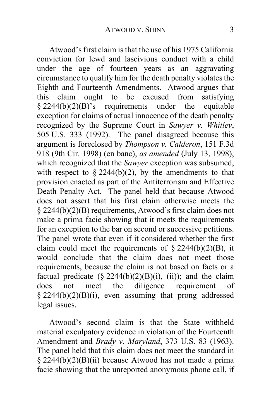Atwood's first claim is that the use of his 1975 California conviction for lewd and lascivious conduct with a child under the age of fourteen years as an aggravating circumstance to qualify him for the death penalty violates the Eighth and Fourteenth Amendments. Atwood argues that this claim ought to be excused from satisfying this claim ought to be excused  $§$  2244(b)(2)(B)'s requirements under the equitable exception for claims of actual innocence of the death penalty recognized by the Supreme Court in *Sawyer v. Whitley*, 505 U.S. 333 (1992). The panel disagreed because this argument is foreclosed by *Thompson v. Calderon*, 151 F.3d 918 (9th Cir. 1998) (en banc), *as amended* (July 13, 1998), which recognized that the *Sawyer* exception was subsumed, with respect to  $\S 2244(b)(2)$ , by the amendments to that provision enacted as part of the Antiterrorism and Effective Death Penalty Act. The panel held that because Atwood does not assert that his first claim otherwise meets the § 2244(b)(2)(B) requirements, Atwood's first claim does not make a prima facie showing that it meets the requirements for an exception to the bar on second or successive petitions. The panel wrote that even if it considered whether the first claim could meet the requirements of  $\S 2244(b)(2)(B)$ , it would conclude that the claim does not meet those requirements, because the claim is not based on facts or a factual predicate  $(\S$  2244(b)(2)(B)(i), (ii)); and the claim does not meet the diligence requirement of  $§$  2244(b)(2)(B)(i), even assuming that prong addressed legal issues.

Atwood's second claim is that the State withheld material exculpatory evidence in violation of the Fourteenth Amendment and *Brady v. Maryland*, 373 U.S. 83 (1963). The panel held that this claim does not meet the standard in § 2244(b)(2)(B)(ii) because Atwood has not made a prima facie showing that the unreported anonymous phone call, if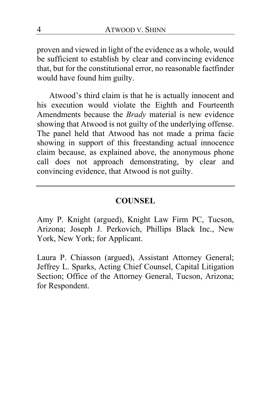proven and viewed in light of the evidence as a whole, would be sufficient to establish by clear and convincing evidence that, but for the constitutional error, no reasonable factfinder would have found him guilty.

Atwood's third claim is that he is actually innocent and his execution would violate the Eighth and Fourteenth Amendments because the *Brady* material is new evidence showing that Atwood is not guilty of the underlying offense. The panel held that Atwood has not made a prima facie showing in support of this freestanding actual innocence claim because, as explained above, the anonymous phone call does not approach demonstrating, by clear and convincing evidence, that Atwood is not guilty.

## **COUNSEL**

Amy P. Knight (argued), Knight Law Firm PC, Tucson, Arizona; Joseph J. Perkovich, Phillips Black Inc., New York, New York; for Applicant.

Laura P. Chiasson (argued), Assistant Attorney General; Jeffrey L. Sparks, Acting Chief Counsel, Capital Litigation Section; Office of the Attorney General, Tucson, Arizona; for Respondent.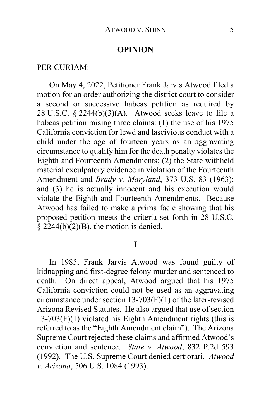### **OPINION**

#### PER CURIAM:

On May 4, 2022, Petitioner Frank Jarvis Atwood filed a motion for an order authorizing the district court to consider a second or successive habeas petition as required by 28 U.S.C.  $\S$  2244(b)(3)(A). Atwood seeks leave to file a habeas petition raising three claims: (1) the use of his 1975 California conviction for lewd and lascivious conduct with a child under the age of fourteen years as an aggravating circumstance to qualify him for the death penalty violates the Eighth and Fourteenth Amendments; (2) the State withheld material exculpatory evidence in violation of the Fourteenth Amendment and *Brady v. Maryland*, 373 U.S. 83 (1963); and (3) he is actually innocent and his execution would violate the Eighth and Fourteenth Amendments. Because Atwood has failed to make a prima facie showing that his proposed petition meets the criteria set forth in 28 U.S.C.  $\S$  2244(b)(2)(B), the motion is denied.

**I**

In 1985, Frank Jarvis Atwood was found guilty of kidnapping and first-degree felony murder and sentenced to death. On direct appeal, Atwood argued that his 1975 California conviction could not be used as an aggravating circumstance under section 13-703(F)(1) of the later-revised Arizona Revised Statutes. He also argued that use of section 13-703(F)(1) violated his Eighth Amendment rights (this is referred to as the "Eighth Amendment claim"). The Arizona Supreme Court rejected these claims and affirmed Atwood's conviction and sentence. *State v. Atwood*, 832 P.2d 593 (1992). The U.S. Supreme Court denied certiorari. *Atwood v. Arizona*, 506 U.S. 1084 (1993).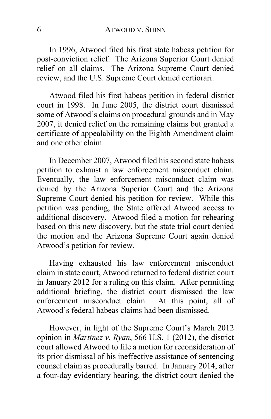In 1996, Atwood filed his first state habeas petition for post-conviction relief. The Arizona Superior Court denied relief on all claims. The Arizona Supreme Court denied review, and the U.S. Supreme Court denied certiorari.

Atwood filed his first habeas petition in federal district court in 1998. In June 2005, the district court dismissed some of Atwood's claims on procedural grounds and in May 2007, it denied relief on the remaining claims but granted a certificate of appealability on the Eighth Amendment claim and one other claim.

In December 2007, Atwood filed his second state habeas petition to exhaust a law enforcement misconduct claim. Eventually, the law enforcement misconduct claim was denied by the Arizona Superior Court and the Arizona Supreme Court denied his petition for review. While this petition was pending, the State offered Atwood access to additional discovery. Atwood filed a motion for rehearing based on this new discovery, but the state trial court denied the motion and the Arizona Supreme Court again denied Atwood's petition for review.

Having exhausted his law enforcement misconduct claim in state court, Atwood returned to federal district court in January 2012 for a ruling on this claim. After permitting additional briefing, the district court dismissed the law enforcement misconduct claim. At this point, all of Atwood's federal habeas claims had been dismissed.

However, in light of the Supreme Court's March 2012 opinion in *Martinez v. Ryan*, 566 U.S. 1 (2012), the district court allowed Atwood to file a motion for reconsideration of its prior dismissal of his ineffective assistance of sentencing counsel claim as procedurally barred. In January 2014, after a four-day evidentiary hearing, the district court denied the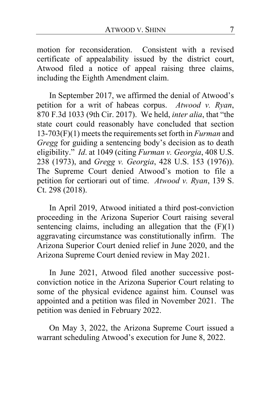motion for reconsideration. Consistent with a revised certificate of appealability issued by the district court, Atwood filed a notice of appeal raising three claims, including the Eighth Amendment claim.

In September 2017, we affirmed the denial of Atwood's petition for a writ of habeas corpus. *Atwood v. Ryan*, 870 F.3d 1033 (9th Cir. 2017). We held, *inter alia*, that "the state court could reasonably have concluded that section 13-703(F)(1) meets the requirements set forth in *Furman* and *Gregg* for guiding a sentencing body's decision as to death eligibility." *Id*. at 1049 (citing *Furman v. Georgia*, 408 U.S. 238 (1973), and *Gregg v. Georgia*, 428 U.S. 153 (1976)). The Supreme Court denied Atwood's motion to file a petition for certiorari out of time. *Atwood v. Ryan*, 139 S. Ct. 298 (2018).

In April 2019, Atwood initiated a third post-conviction proceeding in the Arizona Superior Court raising several sentencing claims, including an allegation that the  $(F)(1)$ aggravating circumstance was constitutionally infirm. The Arizona Superior Court denied relief in June 2020, and the Arizona Supreme Court denied review in May 2021.

In June 2021, Atwood filed another successive postconviction notice in the Arizona Superior Court relating to some of the physical evidence against him. Counsel was appointed and a petition was filed in November 2021. The petition was denied in February 2022.

On May 3, 2022, the Arizona Supreme Court issued a warrant scheduling Atwood's execution for June 8, 2022.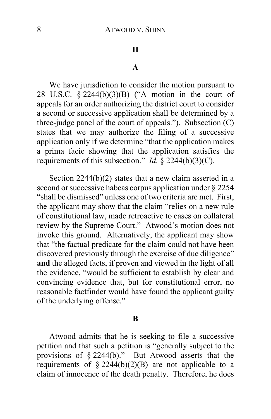### **II**

### **A**

We have jurisdiction to consider the motion pursuant to 28 U.S.C. § 2244(b)(3)(B) ("A motion in the court of appeals for an order authorizing the district court to consider a second or successive application shall be determined by a three-judge panel of the court of appeals."). Subsection  $(C)$ states that we may authorize the filing of a successive application only if we determine "that the application makes a prima facie showing that the application satisfies the requirements of this subsection." *Id.* § 2244(b)(3)(C).

Section 2244(b)(2) states that a new claim asserted in a second or successive habeas corpus application under § 2254 "shall be dismissed" unless one of two criteria are met. First, the applicant may show that the claim "relies on a new rule of constitutional law, made retroactive to cases on collateral review by the Supreme Court." Atwood's motion does not invoke this ground. Alternatively, the applicant may show that "the factual predicate for the claim could not have been discovered previously through the exercise of due diligence" **and** the alleged facts, if proven and viewed in the light of all the evidence, "would be sufficient to establish by clear and convincing evidence that, but for constitutional error, no reasonable factfinder would have found the applicant guilty of the underlying offense."

#### **B**

Atwood admits that he is seeking to file a successive petition and that such a petition is "generally subject to the provisions of  $\S 2244(b)$ ." But Atwood asserts that the requirements of  $\S 2244(b)(2)(B)$  are not applicable to a claim of innocence of the death penalty. Therefore, he does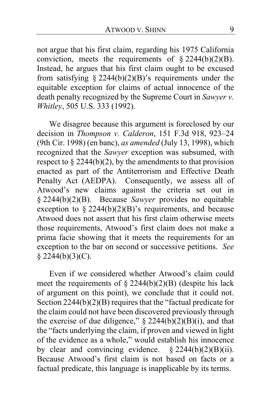not argue that his first claim, regarding his 1975 California conviction, meets the requirements of  $\S 2244(b)(2)(B)$ . Instead, he argues that his first claim ought to be excused from satisfying § 2244(b)(2)(B)'s requirements under the equitable exception for claims of actual innocence of the death penalty recognized by the Supreme Court in *Sawyer v. Whitley*, 505 U.S. 333 (1992).

We disagree because this argument is foreclosed by our decision in *Thompson v. Calderon*, 151 F.3d 918, 923–24 (9th Cir. 1998) (en banc), *as amended* (July 13, 1998), which recognized that the *Sawyer* exception was subsumed, with respect to  $\S 2244(b)(2)$ , by the amendments to that provision enacted as part of the Antiterrorism and Effective Death Penalty Act (AEDPA). Consequently, we assess all of Atwood's new claims against the criteria set out in § 2244(b)(2)(B). Because *Sawyer* provides no equitable exception to  $\S$  2244(b)(2)(B)'s requirements, and because Atwood does not assert that his first claim otherwise meets those requirements, Atwood's first claim does not make a prima facie showing that it meets the requirements for an exception to the bar on second or successive petitions. *See*   $$2244(b)(3)(C).$ 

Even if we considered whether Atwood's claim could meet the requirements of  $\S 2244(b)(2)(B)$  (despite his lack of argument on this point), we conclude that it could not. Section 2244(b)(2)(B) requires that the "factual predicate for the claim could not have been discovered previously through the exercise of due diligence,"  $\S$  2244(b)(2)(B)(i), and that the "facts underlying the claim, if proven and viewed in light of the evidence as a whole," would establish his innocence by clear and convincing evidence.  $\S 2244(b)(2)(B)(ii)$ . Because Atwood's first claim is not based on facts or a factual predicate, this language is inapplicable by its terms.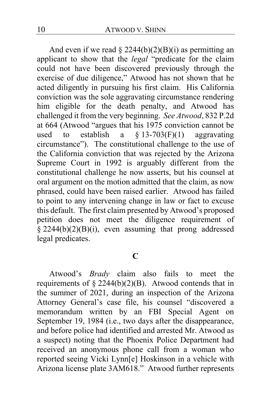And even if we read  $\S 2244(b)(2)(B)(i)$  as permitting an applicant to show that the *legal* "predicate for the claim could not have been discovered previously through the exercise of due diligence," Atwood has not shown that he acted diligently in pursuing his first claim. His California conviction was the sole aggravating circumstance rendering him eligible for the death penalty, and Atwood has challenged it from the very beginning. *See Atwood*, 832 P.2d at 664 (Atwood "argues that his 1975 conviction cannot be used to establish a  $\S$  13-703(F)(1) aggravating circumstance"). The constitutional challenge to the use of the California conviction that was rejected by the Arizona Supreme Court in 1992 is arguably different from the constitutional challenge he now asserts, but his counsel at oral argument on the motion admitted that the claim, as now phrased, could have been raised earlier. Atwood has failed to point to any intervening change in law or fact to excuse this default. The first claim presented by Atwood's proposed petition does not meet the diligence requirement of  $\frac{1}{2}$  2244(b)(2)(B)(i), even assuming that prong addressed legal predicates.

## **C**

Atwood's *Brady* claim also fails to meet the requirements of  $\S 2244(b)(2)(B)$ . Atwood contends that in the summer of 2021, during an inspection of the Arizona Attorney General's case file, his counsel "discovered a memorandum written by an FBI Special Agent on September 19, 1984 (i.e., two days after the disappearance, and before police had identified and arrested Mr. Atwood as a suspect) noting that the Phoenix Police Department had received an anonymous phone call from a woman who reported seeing Vicki Lynn[e] Hoskinson in a vehicle with Arizona license plate 3AM618." Atwood further represents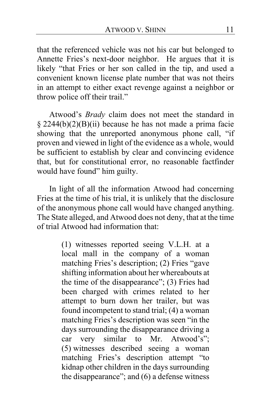that the referenced vehicle was not his car but belonged to Annette Fries's next-door neighbor. He argues that it is likely "that Fries or her son called in the tip, and used a convenient known license plate number that was not theirs in an attempt to either exact revenge against a neighbor or throw police off their trail."

Atwood's *Brady* claim does not meet the standard in § 2244(b)(2)(B)(ii) because he has not made a prima facie showing that the unreported anonymous phone call, "if proven and viewed in light of the evidence as a whole, would be sufficient to establish by clear and convincing evidence that, but for constitutional error, no reasonable factfinder would have found" him guilty.

In light of all the information Atwood had concerning Fries at the time of his trial, it is unlikely that the disclosure of the anonymous phone call would have changed anything. The State alleged, and Atwood does not deny, that at the time of trial Atwood had information that:

> (1) witnesses reported seeing V.L.H. at a local mall in the company of a woman matching Fries's description; (2) Fries "gave shifting information about her whereabouts at the time of the disappearance"; (3) Fries had been charged with crimes related to her attempt to burn down her trailer, but was found incompetent to stand trial; (4) a woman matching Fries's description was seen "in the days surrounding the disappearance driving a car very similar to Mr. Atwood's"; (5) witnesses described seeing a woman matching Fries's description attempt "to kidnap other children in the days surrounding the disappearance"; and  $(6)$  a defense witness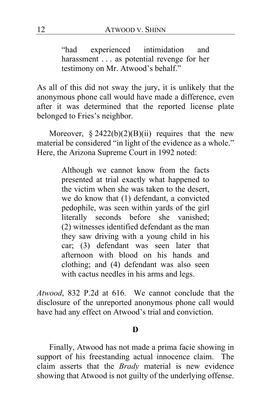"had experienced intimidation and harassment . . . as potential revenge for her testimony on Mr. Atwood's behalf."

As all of this did not sway the jury, it is unlikely that the anonymous phone call would have made a difference, even after it was determined that the reported license plate belonged to Fries's neighbor.

Moreover,  $\S 2422(b)(2)(B)(ii)$  requires that the new material be considered "in light of the evidence as a whole." Here, the Arizona Supreme Court in 1992 noted:

> Although we cannot know from the facts presented at trial exactly what happened to the victim when she was taken to the desert, we do know that (1) defendant, a convicted pedophile, was seen within yards of the girl literally seconds before she vanished; (2) witnesses identified defendant as the man they saw driving with a young child in his car; (3) defendant was seen later that afternoon with blood on his hands and clothing; and (4) defendant was also seen with cactus needles in his arms and legs.

*Atwood*, 832 P.2d at 616. We cannot conclude that the disclosure of the unreported anonymous phone call would have had any effect on Atwood's trial and conviction.

### **D**

Finally, Atwood has not made a prima facie showing in support of his freestanding actual innocence claim. The claim asserts that the *Brady* material is new evidence showing that Atwood is not guilty of the underlying offense.